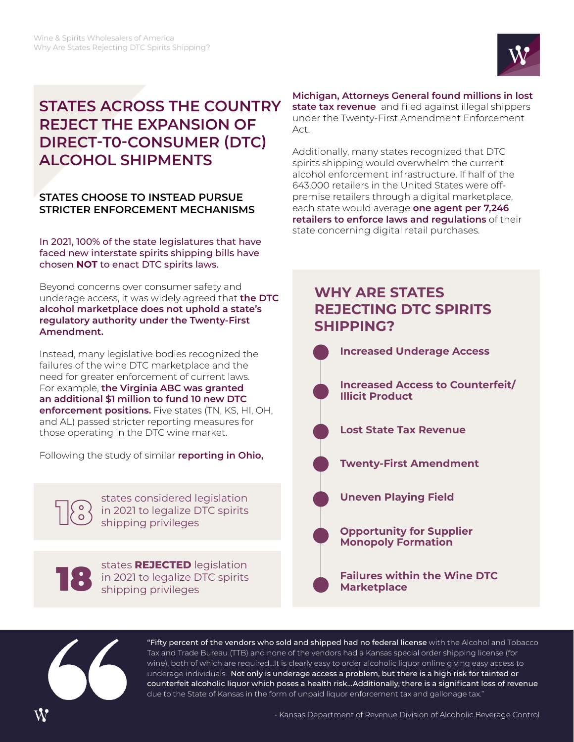

# **STATES ACROSS THE COUNTRY REJECT THE EXPANSION OF DIRECT-T0-CONSUMER (DTC) ALCOHOL SHIPMENTS**

## **STATES CHOOSE TO INSTEAD PURSUE STRICTER ENFORCEMENT MECHANISMS**

In 2021, 100% of the state legislatures that have faced new interstate spirits shipping bills have chosen **NOT** to enact DTC spirits laws.

Beyond concerns over consumer safety and underage access, it was widely agreed that **the DTC alcohol marketplace does not uphold a state's regulatory authority under the Twenty-First Amendment.**

Instead, many legislative bodies recognized the failures of the wine DTC marketplace and the need for greater enforcement of current laws. For example, **the Virginia ABC was granted an additional \$1 million to fund 10 new DTC enforcement positions.** Five states (TN, KS, HI, OH, and AL) passed stricter reporting measures for those operating in the DTC wine market.

Following the study of similar **reporting in Ohio,** 

states considered legislation<br>18 in 2021 to legalize DTC spirits<br>shipping privileges in 2021 to legalize DTC spirits shipping privileges



states **REJECTED** legislation<br>in 2021 to legalize DTC spirits<br>shipping privileges in 2021 to legalize DTC spirits shipping privileges

#### **Michigan, Attorneys General found millions in lost**

**state tax revenue** and filed against illegal shippers under the Twenty-First Amendment Enforcement Act.

Additionally, many states recognized that DTC spirits shipping would overwhelm the current alcohol enforcement infrastructure. If half of the 643,000 retailers in the United States were offpremise retailers through a digital marketplace, each state would average **one agent per 7,246 retailers to enforce laws and regulations** of their state concerning digital retail purchases.

## **WHY ARE STATES REJECTING DTC SPIRITS SHIPPING?**





"Fifty percent of the vendors who sold and shipped had no federal license with the Alcohol and Tobacco Tax and Trade Bureau (TTB) and none of the vendors had a Kansas special order shipping license (for wine), both of which are required…It is clearly easy to order alcoholic liquor online giving easy access to underage individuals. Not only is underage access a problem, but there is a high risk for tainted or counterfeit alcoholic liquor which poses a health risk…Additionally, there is a significant loss of revenue due to the State of Kansas in the form of unpaid liquor enforcement tax and gallonage tax."